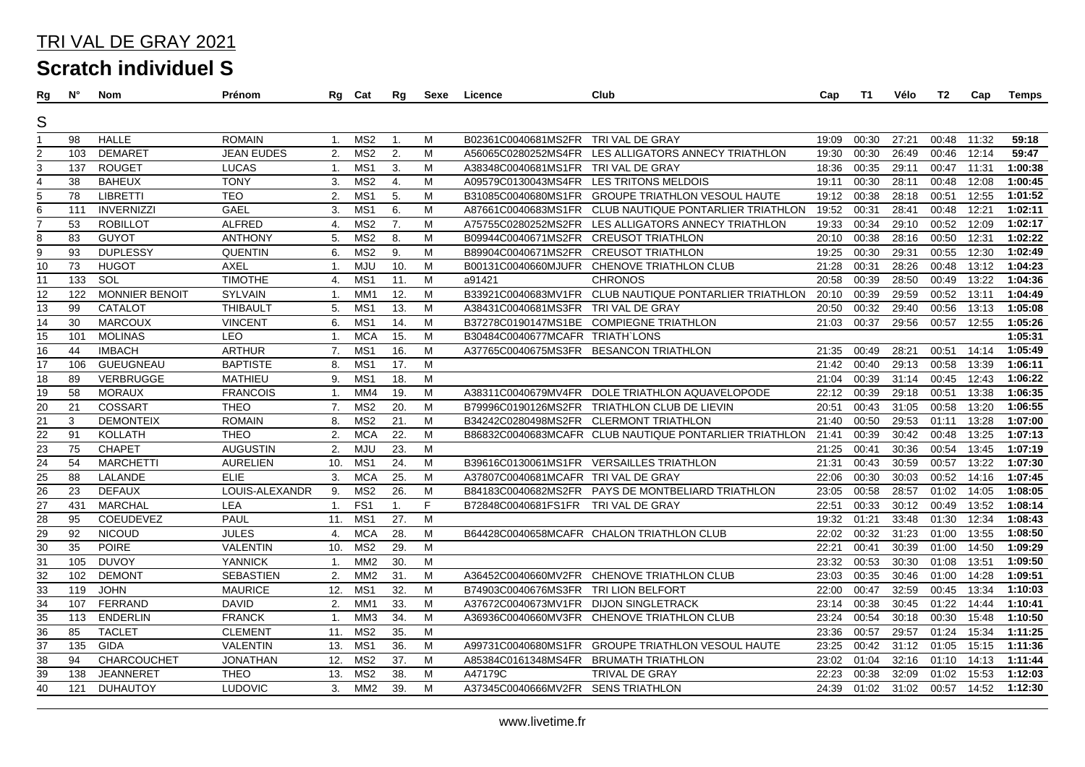| Rg                      | <b>N°</b> | Nom                   | Prénom            | Rg             | Cat             | Rg                | Sexe | Licence                               | Club                                                   | Cap   | T1    | Vélo  | T2    | Cap   | Temps   |
|-------------------------|-----------|-----------------------|-------------------|----------------|-----------------|-------------------|------|---------------------------------------|--------------------------------------------------------|-------|-------|-------|-------|-------|---------|
| S                       |           |                       |                   |                |                 |                   |      |                                       |                                                        |       |       |       |       |       |         |
|                         |           |                       |                   |                |                 |                   |      |                                       |                                                        |       |       |       |       |       |         |
| 1                       | 98        | <b>HALLE</b>          | <b>ROMAIN</b>     | 1.             | MS <sub>2</sub> | $\overline{1}$ .  | M    | B02361C0040681MS2FR TRI VAL DE GRAY   |                                                        | 19:09 | 00:30 | 27:21 | 00:48 | 11:32 | 59:18   |
| $\overline{c}$          | 103       | <b>DEMARET</b>        | <b>JEAN EUDES</b> | 2.             | MS <sub>2</sub> | 2.                | M    | A56065C0280252MS4FR                   | LES ALLIGATORS ANNECY TRIATHLON                        | 19:30 | 00:30 | 26:49 | 00:46 | 12:14 | 59:47   |
| $\overline{3}$          | 137       | <b>ROUGET</b>         | <b>LUCAS</b>      | $\mathbf{1}$ . | MS <sub>1</sub> | 3.                | M    | A38348C0040681MS1FR TRI VAL DE GRAY   |                                                        | 18:36 | 00:35 | 29:11 | 00:47 | 11:31 | 1:00:38 |
| $\overline{\mathbf{4}}$ | 38        | <b>BAHEUX</b>         | <b>TONY</b>       | 3.             | MS <sub>2</sub> | 4.                | M    |                                       | A09579C0130043MS4FR LES TRITONS MELDOIS                | 19:11 | 00:30 | 28:11 | 00:48 | 12:08 | 1:00:45 |
| 5                       | 78        | <b>LIBRETTI</b>       | <b>TEO</b>        | 2.             | MS1             | 5.                | M    |                                       | B31085C0040680MS1FR GROUPE TRIATHLON VESOUL HAUTE      | 19:12 | 00:38 | 28:18 | 00:51 | 12:55 | 1:01:52 |
| $\overline{6}$          | 111       | <b>INVERNIZZI</b>     | GAEL              | 3.             | MS <sub>1</sub> | 6.                | M    |                                       | A87661C0040683MS1FR CLUB NAUTIQUE PONTARLIER TRIATHLON | 19:52 | 00:31 | 28:41 | 00:48 | 12:21 | 1:02:11 |
| $\overline{7}$          | 53        | <b>ROBILLOT</b>       | <b>ALFRED</b>     | 4.             | MS <sub>2</sub> | 7.                | M    |                                       | A75755C0280252MS2FR LES ALLIGATORS ANNECY TRIATHLON    | 19:33 | 00:34 | 29:10 | 00:52 | 12:09 | 1:02:17 |
| 8                       | 83        | <b>GUYOT</b>          | <b>ANTHONY</b>    | 5.             | MS <sub>2</sub> | 8.                | M    | B09944C0040671MS2FR CREUSOT TRIATHLON |                                                        | 20:10 | 00:38 | 28:16 | 00:50 | 12:31 | 1:02:22 |
| 9                       | 93        | <b>DUPLESSY</b>       | <b>QUENTIN</b>    | 6.             | MS2             | 9.                | M    | B89904C0040671MS2FR CREUSOT TRIATHLON |                                                        | 19:25 | 00:30 | 29:31 | 00:55 | 12:30 | 1:02:49 |
| 10                      | 73        | <b>HUGOT</b>          | <b>AXEL</b>       | $\mathbf{1}$ . | <b>MJU</b>      | 10.               | M    |                                       | B00131C0040660MJUFR CHENOVE TRIATHLON CLUB             | 21:28 | 00:31 | 28:26 | 00:48 | 13:12 | 1:04:23 |
| 11                      | 133       | SOL                   | <b>TIMOTHE</b>    | 4.             | MS1             | 11.               | M    | a91421                                | <b>CHRONOS</b>                                         | 20:58 | 00:39 | 28:50 | 00:49 | 13:22 | 1:04:36 |
| 12                      | 122       | <b>MONNIER BENOIT</b> | SYLVAIN           | $\mathbf{1}$ . | MM <sub>1</sub> | 12.               | M    |                                       | B33921C0040683MV1FR CLUB NAUTIQUE PONTARLIER TRIATHLON | 20:10 | 00:39 | 29:59 | 00:52 | 13:11 | 1:04:49 |
| 13                      | 99        | <b>CATALOT</b>        | <b>THIBAULT</b>   | 5.             | MS1             | 13.               | M    | A38431C0040681MS3FR TRI VAL DE GRAY   |                                                        | 20:50 | 00:32 | 29:40 | 00:56 | 13:13 | 1:05:08 |
| 14                      | 30        | <b>MARCOUX</b>        | <b>VINCENT</b>    | 6.             | MS <sub>1</sub> | 14.               | M    |                                       | B37278C0190147MS1BE COMPIEGNE TRIATHLON                | 21:03 | 00:37 | 29:56 | 00:57 | 12:55 | 1:05:26 |
| 15                      | 101       | <b>MOLINAS</b>        | <b>LEO</b>        | 1.             | <b>MCA</b>      | 15.               | M    | B30484C0040677MCAFR TRIATH`LONS       |                                                        |       |       |       |       |       | 1:05:31 |
| $\overline{16}$         | 44        | <b>IMBACH</b>         | <b>ARTHUR</b>     | 7.             | MS <sub>1</sub> | 16.               | M    |                                       | A37765C0040675MS3FR BESANCON TRIATHLON                 | 21:35 | 00:49 | 28:21 | 00:51 | 14:14 | 1:05:49 |
| 17                      | 106       | <b>GUEUGNEAU</b>      | <b>BAPTISTE</b>   | 8.             | MS <sub>1</sub> | 17.               | M    |                                       |                                                        | 21:42 | 00:40 | 29:13 | 00:58 | 13:39 | 1:06:11 |
| $\overline{18}$         | 89        | VERBRUGGE             | <b>MATHIEU</b>    | 9.             | MS1             | 18.               | M    |                                       |                                                        | 21:04 | 00:39 | 31:14 | 00:45 | 12:43 | 1:06:22 |
| 19                      | 58        | <b>MORAUX</b>         | <b>FRANCOIS</b>   | $\mathbf{1}$ . | MM4             | 19.               | M    |                                       | A38311C0040679MV4FR DOLE TRIATHLON AQUAVELOPODE        | 22:12 | 00:39 | 29:18 | 00:51 | 13:38 | 1:06:35 |
|                         | 21        | COSSART               | <b>THEO</b>       | 7.             | MS <sub>2</sub> | 20.               | M    |                                       | B79996C0190126MS2FR TRIATHLON CLUB DE LIEVIN           | 20:51 | 00:43 | 31:05 | 00:58 | 13:20 | 1:06:55 |
| $\frac{20}{21}$         | 3         | <b>DEMONTEIX</b>      | <b>ROMAIN</b>     | 8.             | MS <sub>2</sub> | 21.               | M    |                                       | B34242C0280498MS2FR CLERMONT TRIATHLON                 | 21:40 | 00:50 | 29:53 | 01:11 | 13:28 | 1:07:00 |
| $\frac{22}{2}$          | 91        | <b>KOLLATH</b>        | <b>THEO</b>       | 2.             | <b>MCA</b>      | 22.               | M    |                                       | B86832C0040683MCAFR CLUB NAUTIQUE PONTARLIER TRIATHLON | 21:41 | 00:39 | 30:42 | 00:48 | 13:25 | 1:07:13 |
| 23                      | 75        | <b>CHAPET</b>         | <b>AUGUSTIN</b>   | 2.             | <b>MJU</b>      | 23.               | M    |                                       |                                                        | 21:25 | 00:41 | 30:36 | 00:54 | 13:45 | 1:07:19 |
| 24                      | 54        | <b>MARCHETTI</b>      | <b>AURELIEN</b>   | 10.            | MS <sub>1</sub> | 24.               | M    |                                       | B39616C0130061MS1FR VERSAILLES TRIATHLON               | 21:31 | 00:43 | 30:59 | 00:57 | 13:22 | 1:07:30 |
| $\overline{25}$         | 88        | LALANDE               | <b>ELIE</b>       | 3.             | <b>MCA</b>      | 25.               | M    | A37807C0040681MCAFR TRIVAL DE GRAY    |                                                        | 22:06 | 00:30 | 30:03 | 00:52 | 14:16 | 1:07:45 |
| 26                      | 23        | <b>DEFAUX</b>         | LOUIS-ALEXANDR    | 9.             | MS <sub>2</sub> | 26.               | M    |                                       | B84183C0040682MS2FR PAYS DE MONTBELIARD TRIATHLON      | 23:05 | 00:58 | 28:57 | 01:02 | 14:05 | 1:08:05 |
| $\overline{27}$         | 431       | <b>MARCHAL</b>        | <b>LEA</b>        | 1.             | FS <sub>1</sub> | $\mathbf{1}$ .    | F    | B72848C0040681FS1FR                   | TRI VAL DE GRAY                                        | 22:51 | 00:33 | 30:12 | 00:49 | 13:52 | 1:08:14 |
| $\frac{28}{5}$          | 95        | COEUDEVEZ             | PAUL              | 11.            | MS1             | 27.               | M    |                                       |                                                        | 19:32 | 01:21 | 33:48 | 01:30 | 12:34 | 1:08:43 |
| $\overline{29}$         | 92        | <b>NICOUD</b>         | <b>JULES</b>      | 4.             | <b>MCA</b>      | 28.               | M    |                                       | B64428C0040658MCAFR CHALON TRIATHLON CLUB              | 22:02 | 00:32 | 31:23 | 01:00 | 13:55 | 1:08:50 |
| 30                      | 35        | <b>POIRE</b>          | VALENTIN          | 10.            | MS <sub>2</sub> | 29.               | M    |                                       |                                                        | 22:21 | 00:41 | 30:39 | 01:00 | 14:50 | 1:09:29 |
| $\overline{31}$         | 105       | <b>DUVOY</b>          | <b>YANNICK</b>    | $\mathbf{1}$ . | MM <sub>2</sub> | 30.               | M    |                                       |                                                        | 23:32 | 00:53 | 30:30 | 01:08 | 13:51 | 1:09:50 |
| 32                      | 102       | <b>DEMONT</b>         | <b>SEBASTIEN</b>  | 2.             | MM <sub>2</sub> | 31.               | M    |                                       | A36452C0040660MV2FR CHENOVE TRIATHLON CLUB             | 23:03 | 00:35 | 30:46 | 01:00 | 14:28 | 1:09:51 |
| $\overline{33}$         | 119       | <b>JOHN</b>           | <b>MAURICE</b>    | 12.            | MS <sub>1</sub> | 32.               | M    | B74903C0040676MS3FR TRI LION BELFORT  |                                                        | 22:00 | 00:47 | 32:59 | 00:45 | 13:34 | 1:10:03 |
| 34                      | 107       | FERRAND               | <b>DAVID</b>      | 2.             | MM1             | 33.               | M    | A37672C0040673MV1FR DIJON SINGLETRACK |                                                        | 23:14 | 00:38 | 30:45 | 01:22 | 14:44 | 1:10:41 |
| $\frac{35}{5}$          | 113       | <b>ENDERLIN</b>       | <b>FRANCK</b>     | $\mathbf{1}$ . | MM3             | 34.               | M    |                                       | A36936C0040660MV3FR CHENOVE TRIATHLON CLUB             | 23:24 | 00:54 | 30:18 | 00:30 | 15:48 | 1:10:50 |
| $\overline{36}$         | 85        | <b>TACLET</b>         | <b>CLEMENT</b>    | 11.            | MS <sub>2</sub> | $\overline{35}$ . | M    |                                       |                                                        | 23:36 | 00:57 | 29:57 | 01:24 | 15:34 | 1:11:25 |
| $\overline{37}$         | 135       | <b>GIDA</b>           | VALENTIN          | 13.            | MS1             | 36.               | M    |                                       | A99731C0040680MS1FR GROUPE TRIATHLON VESOUL HAUTE      | 23:25 | 00:42 | 31:12 | 01:05 | 15:15 | 1:11:36 |
| 38                      | 94        | CHARCOUCHET           | <b>JONATHAN</b>   | 12.            | MS <sub>2</sub> | 37.               | M    | A85384C0161348MS4FR                   | <b>BRUMATH TRIATHLON</b>                               | 23:02 | 01:04 | 32:16 | 01:10 | 14:13 | 1:11:44 |
| $\overline{39}$         | 138       | <b>JEANNERET</b>      | <b>THEO</b>       | 13.            | MS <sub>2</sub> | 38.               | M    | A47179C                               | <b>TRIVAL DE GRAY</b>                                  | 22:23 | 00:38 | 32:09 | 01:02 | 15:53 | 1:12:03 |
| $\overline{40}$         | 121       | <b>DUHAUTOY</b>       | <b>LUDOVIC</b>    | 3.             | MM <sub>2</sub> | 39.               | M    | A37345C0040666MV2FR SENS TRIATHLON    |                                                        | 24:39 | 01:02 | 31:02 | 00:57 | 14:52 | 1:12:30 |
|                         |           |                       |                   |                |                 |                   |      |                                       |                                                        |       |       |       |       |       |         |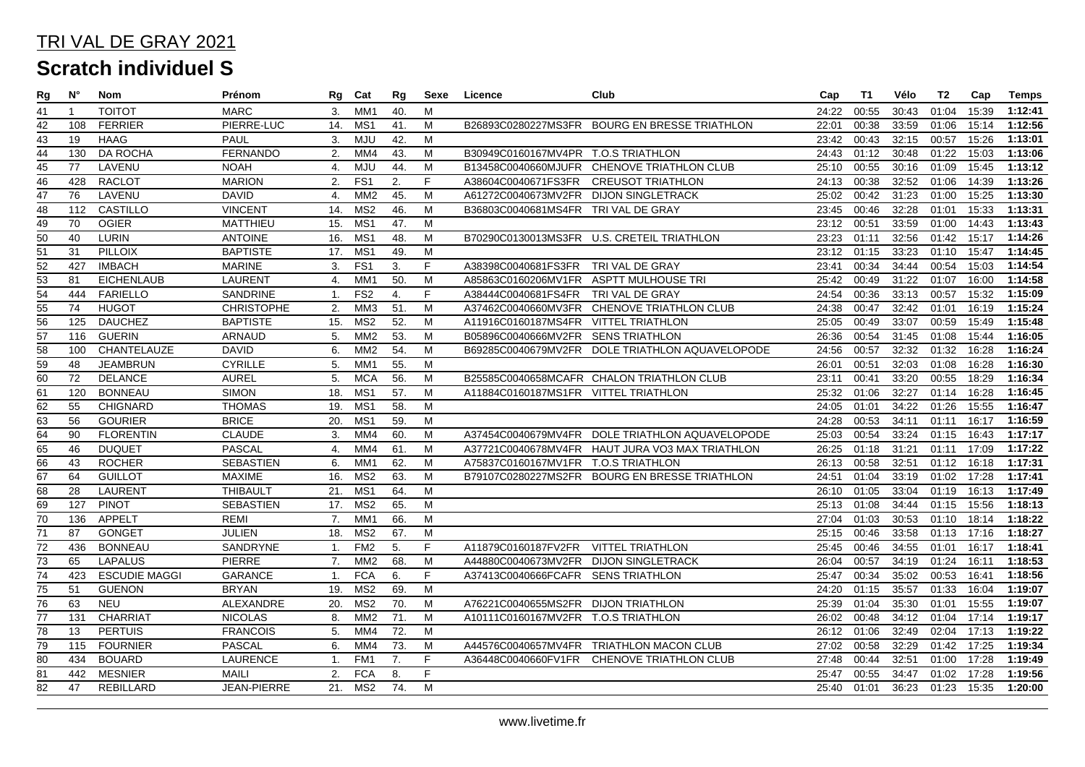| Rg              | $N^{\circ}$ | Nom                  | Prénom             | Rg               | Cat             | Rg              | Sexe | Licence                                | Club                                            | Cap               | T1    | Vélo  | T2          | Cap   | <b>Temps</b> |
|-----------------|-------------|----------------------|--------------------|------------------|-----------------|-----------------|------|----------------------------------------|-------------------------------------------------|-------------------|-------|-------|-------------|-------|--------------|
| 41              | -1          | <b>TOITOT</b>        | <b>MARC</b>        | 3.               | MM <sub>1</sub> | 40.             | M    |                                        |                                                 | 24:22             | 00:55 | 30:43 | 01:04       | 15:39 | 1:12:41      |
| 42              | 108         | <b>FERRIER</b>       | PIERRE-LUC         | 14.              | MS <sub>1</sub> | 41.             | M    |                                        | B26893C0280227MS3FR BOURG EN BRESSE TRIATHLON   | 22:01             | 00:38 | 33:59 | 01:06       | 15:14 | 1:12:56      |
| $\overline{43}$ | 19          | <b>HAAG</b>          | PAUL               | 3.               | <b>MJU</b>      | 42.             | M    |                                        |                                                 | 23:42             | 00:43 | 32:15 | 00:57       | 15:26 | 1:13:01      |
| $\overline{44}$ | 130         | <b>DA ROCHA</b>      | <b>FERNANDO</b>    | 2.               | MM4             | 43.             | M    | B30949C0160167MV4PR T.O.S TRIATHLON    |                                                 | 24:43             | 01:12 | 30:48 | 01:22       | 15:03 | 1:13:06      |
| $\overline{45}$ | 77          | LAVENU               | <b>NOAH</b>        | 4.               | <b>MJU</b>      | 44.             | M    |                                        | B13458C0040660MJUFR CHENOVE TRIATHLON CLUB      | 25:10             | 00:55 | 30:16 | 01:09       | 15:45 | 1:13:12      |
| 46              | 428         | <b>RACLOT</b>        | <b>MARION</b>      | 2.               | FS <sub>1</sub> | 2.              | F.   | A38604C0040671FS3FR                    | <b>CREUSOT TRIATHLON</b>                        | 24:13             | 00:38 | 32:52 | 01:06       | 14:39 | 1:13:26      |
| $\overline{47}$ | 76          | LAVENU               | <b>DAVID</b>       | 4.               | MM <sub>2</sub> | 45.             | M    | A61272C0040673MV2FR DIJON SINGLETRACK  |                                                 | 25:02             | 00:42 | 31:23 | 01:00       | 15:25 | 1:13:30      |
| $\overline{48}$ | 112         | <b>CASTILLO</b>      | <b>VINCENT</b>     | 14.              | MS <sub>2</sub> | 46.             | M    | B36803C0040681MS4FR TRI VAL DE GRAY    |                                                 | 23:45             | 00:46 | 32:28 | 01:01       | 15:33 | 1:13:31      |
| 49              | 70          | <b>OGIER</b>         | <b>MATTHIEU</b>    | 15.              | MS1             | 47.             | M    |                                        |                                                 | 23:12             | 00:51 | 33:59 | 01:00       | 14:43 | 1:13:43      |
| $\overline{50}$ | 40          | <b>LURIN</b>         | <b>ANTOINE</b>     | 16.              | MS1             | 48.             | M    |                                        | B70290C0130013MS3FR U.S. CRETEIL TRIATHLON      | 23:23             | 01:11 | 32:56 | 01:42       | 15:17 | 1:14:26      |
| $\overline{51}$ | 31          | <b>PILLOIX</b>       | <b>BAPTISTE</b>    | 17.              | MS1             | 49.             | M    |                                        |                                                 | 23:12             | 01:15 | 33:23 | 01:10       | 15:47 | 1:14:45      |
| $\overline{52}$ | 427         | <b>IMBACH</b>        | <b>MARINE</b>      | 3.               | FS <sub>1</sub> | 3.              | F.   | A38398C0040681FS3FR TRI VAL DE GRAY    |                                                 | 23:41             | 00:34 | 34:44 | 00:54       | 15:03 | 1:14:54      |
| 53              | 81          | <b>EICHENLAUB</b>    | LAURENT            | 4.               | MM <sub>1</sub> | 50.             | M    | A85863C0160206MV1FR ASPTT MULHOUSE TRI |                                                 | 25:42             | 00:49 | 31:22 | 01:07       | 16:00 | 1:14:58      |
| $\overline{54}$ | 444         | <b>FARIELLO</b>      | SANDRINE           | 1.               | FS <sub>2</sub> | 4.              | F.   | A38444C0040681FS4FR TRIVAL DE GRAY     |                                                 | 24:54             | 00:36 | 33:13 | 00:57       | 15:32 | 1:15:09      |
| $\overline{55}$ | 74          | <b>HUGOT</b>         | <b>CHRISTOPHE</b>  | 2.               | MM3             | 51.             | M    | A37462C0040660MV3FR                    | CHENOVE TRIATHLON CLUB                          | 24:38             | 00:47 | 32:42 | 01:01       | 16:19 | 1:15:24      |
| $\overline{56}$ | 125         | <b>DAUCHEZ</b>       | <b>BAPTISTE</b>    | 15.              | MS <sub>2</sub> | 52.             | M    | A11916C0160187MS4FR VITTEL TRIATHLON   |                                                 | 25:05             | 00:49 | 33:07 | 00:59       | 15:49 | 1:15:48      |
| $\overline{57}$ | 116         | <b>GUERIN</b>        | ARNAUD             | 5.               | MM <sub>2</sub> | 53.             | M    | B05896C0040666MV2FR SENS TRIATHLON     |                                                 | 26:36             | 00:54 | 31:45 | 01:08       | 15:44 | 1:16:05      |
| $\overline{58}$ | 100         | CHANTELAUZE          | <b>DAVID</b>       | 6.               | MM <sub>2</sub> | $\overline{54}$ | M    |                                        | B69285C0040679MV2FR DOLE TRIATHLON AQUAVELOPODE | 24:56             | 00:57 | 32:32 | 01:32       | 16:28 | 1:16:24      |
| $\overline{59}$ | 48          | <b>JEAMBRUN</b>      | <b>CYRILLE</b>     | 5.               | MM <sub>1</sub> | 55.             | М    |                                        |                                                 | 26:01             | 00:51 | 32:03 | 01:08       | 16:28 | 1:16:30      |
| $\overline{60}$ | 72          | <b>DELANCE</b>       | <b>AUREL</b>       | 5.               | <b>MCA</b>      | 56.             | M    |                                        | B25585C0040658MCAFR CHALON TRIATHLON CLUB       | 23:11             | 00:41 | 33:20 | 00:55       | 18:29 | 1:16:34      |
| 61              | 120         | <b>BONNEAU</b>       | <b>SIMON</b>       | 18.              | MS <sub>1</sub> | 57.             | M    | A11884C0160187MS1FR VITTEL TRIATHLON   |                                                 | 25:32             | 01:06 | 32:27 | 01:14       | 16:28 | 1:16:45      |
| 62              | 55          | <b>CHIGNARD</b>      | <b>THOMAS</b>      | 19.              | MS <sub>1</sub> | 58.             | M    |                                        |                                                 | 24:05             | 01:01 | 34:22 | 01:26       | 15:55 | 1:16:47      |
| 63              | 56          | <b>GOURIER</b>       | <b>BRICE</b>       | 20.              | MS <sub>1</sub> | 59.             | M    |                                        |                                                 | 24:28             | 00:53 | 34:11 | 01:11       | 16:17 | 1:16:59      |
| $\overline{64}$ | 90          | <b>FLORENTIN</b>     | <b>CLAUDE</b>      | 3.               | MM4             | 60.             | M    |                                        | A37454C0040679MV4FR DOLE TRIATHLON AQUAVELOPODE | 25:03             | 00:54 | 33:24 | 01:15       | 16:43 | 1:17:17      |
| 65              | 46          | <b>DUQUET</b>        | <b>PASCAL</b>      | 4.               | MM4             | 61.             | M    |                                        | A37721C0040678MV4FR HAUT JURA VO3 MAX TRIATHLON | 26:25             | 01:18 | 31:21 | 01:11       | 17:09 | 1:17:22      |
| 66              | 43          | <b>ROCHER</b>        | <b>SEBASTIEN</b>   | 6.               | MM <sub>1</sub> | 62.             | M    | A75837C0160167MV1FR T.O.S TRIATHLON    |                                                 | 26:13             | 00:58 | 32:51 | 01:12       | 16:18 | 1:17:31      |
| $\overline{67}$ | 64          | <b>GUILLOT</b>       | <b>MAXIME</b>      | 16.              | MS <sub>2</sub> | 63.             | M    |                                        | B79107C0280227MS2FR BOURG EN BRESSE TRIATHLON   | 24:51             | 01:04 | 33:19 | 01:02       | 17:28 | 1:17:41      |
| 68              | 28          | <b>LAURENT</b>       | <b>THIBAULT</b>    | 21.              | MS1             | 64.             | M    |                                        |                                                 | 26:10             | 01:05 | 33:04 | 01:19       | 16:13 | 1:17:49      |
| $\overline{69}$ | 127         | <b>PINOT</b>         | <b>SEBASTIEN</b>   | 17.              | MS <sub>2</sub> | 65.             | M    |                                        |                                                 | 25:13             | 01:08 | 34:44 | 01:15       | 15:56 | 1:18:13      |
| 70              | 136         | <b>APPELT</b>        | <b>REMI</b>        | 7.               | MM <sub>1</sub> | 66.             | M    |                                        |                                                 | 27:04             | 01:03 | 30:53 | 01:10       | 18:14 | 1:18:22      |
| $\overline{71}$ | 87          | <b>GONGET</b>        | <b>JULIEN</b>      | 18.              | MS <sub>2</sub> | 67.             | M    |                                        |                                                 | 25:15             | 00:46 | 33:58 | 01:13       | 17:16 | 1:18:27      |
| $\overline{72}$ | 436         | <b>BONNEAU</b>       | SANDRYNE           | $\mathbf{1}$ .   | FM <sub>2</sub> | 5.              | F.   | A11879C0160187FV2FR VITTEL TRIATHLON   |                                                 | 25:45             | 00:46 | 34:55 | 01:01       | 16:17 | 1:18:41      |
| $\overline{73}$ | 65          | <b>LAPALUS</b>       | <b>PIERRE</b>      | 7.               | MM <sub>2</sub> | 68.             | M    | A44880C0040673MV2FR DIJON SINGLETRACK  |                                                 | 26:04             | 00:57 | 34:19 | 01:24       | 16:11 | 1:18:53      |
| $\overline{74}$ | 423         | <b>ESCUDIE MAGGI</b> | <b>GARANCE</b>     | $\mathbf{1}$ .   | <b>FCA</b>      | 6.              | F.   | A37413C0040666FCAFR SENS TRIATHLON     |                                                 | 25:47             | 00:34 | 35:02 | 00:53       | 16:41 | 1:18:56      |
| 75              | 51          | <b>GUENON</b>        | <b>BRYAN</b>       | 19.              | MS <sub>2</sub> | 69.             | M    |                                        |                                                 | 24:20             | 01:15 | 35:57 | 01:33       | 16:04 | 1:19:07      |
| 76              | 63          | <b>NEU</b>           | ALEXANDRE          | 20.              | MS <sub>2</sub> | 70.             | M    | A76221C0040655MS2FR DIJON TRIATHLON    |                                                 | 25:39             | 01:04 | 35:30 | 01:01       | 15:55 | 1:19:07      |
| 77              | 131         | <b>CHARRIAT</b>      | <b>NICOLAS</b>     | 8.               | MM <sub>2</sub> | 71.             | M    | A10111C0160167MV2FR T.O.S TRIATHLON    |                                                 | 26:02             | 00:48 | 34:12 | 01:04       | 17:14 | 1:19:17      |
| $\overline{78}$ | 13          | <b>PERTUIS</b>       | <b>FRANCOIS</b>    | 5.               | MM4             | 72.             | M    |                                        |                                                 | 26:12             | 01:06 | 32:49 | 02:04       | 17:13 | 1:19:22      |
| 79              | 115         | <b>FOURNIER</b>      | <b>PASCAL</b>      | 6.               | MM4             | 73.             | M    |                                        | A44576C0040657MV4FR TRIATHLON MACON CLUB        | $\frac{1}{27:02}$ | 00:58 | 32:29 | 01:42       | 17:25 | 1:19:34      |
| $\overline{80}$ | 434         | <b>BOUARD</b>        | <b>LAURENCE</b>    | 1.               | FM <sub>1</sub> | 7.              | F.   | A36448C0040660FV1FR                    | CHENOVE TRIATHLON CLUB                          | 27:48             | 00:44 | 32:51 | 01:00       | 17:28 | 1:19:49      |
| $\overline{81}$ | 442         | <b>MESNIER</b>       | <b>MAILI</b>       | $\overline{2}$ . | <b>FCA</b>      | 8.              | F.   |                                        |                                                 | 25:47             | 00:55 | 34:47 | 01:02       | 17:28 | 1:19:56      |
| 82              | 47          | <b>REBILLARD</b>     | <b>JEAN-PIERRE</b> | 21.              | MS2             | 74.             | M    |                                        |                                                 | 25:40 01:01       |       | 36:23 | 01:23 15:35 |       | 1:20:00      |
|                 |             |                      |                    |                  |                 |                 |      |                                        |                                                 |                   |       |       |             |       |              |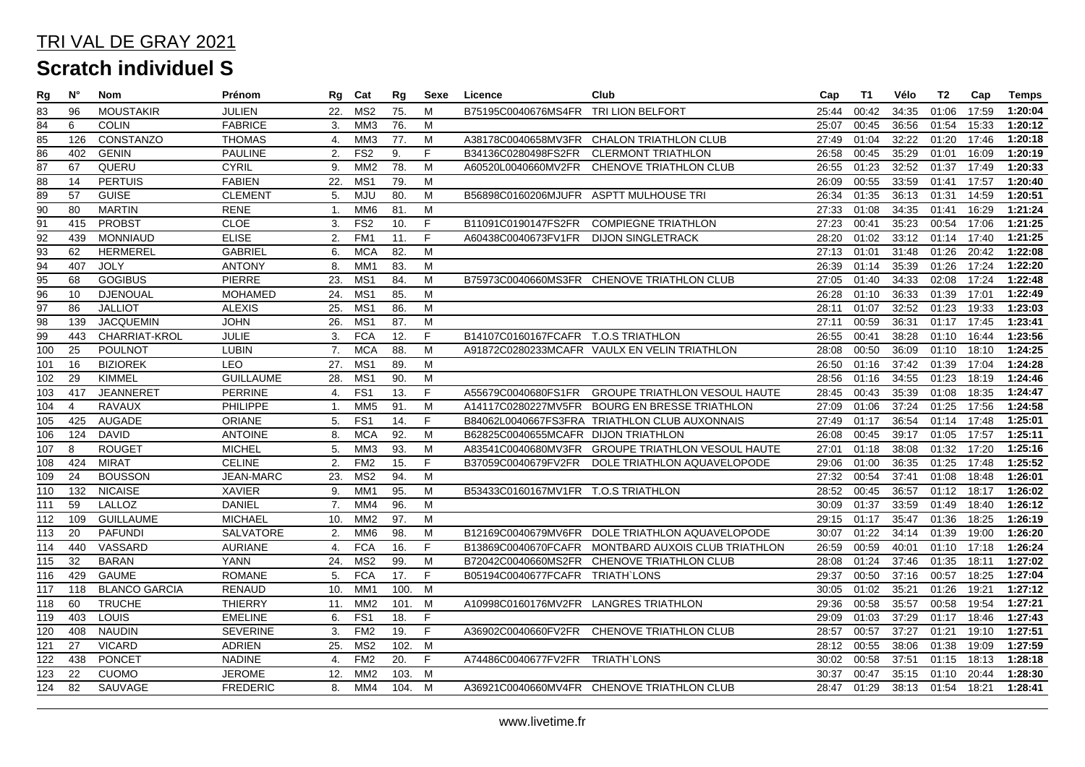| Rg               | N°             | Nom                  | Prénom           | Rg             | Cat              | Rg   | Sexe | Licence                                | Club                                              | Cap   | T1    | Vélo  | T2          | Cap   | Temps   |
|------------------|----------------|----------------------|------------------|----------------|------------------|------|------|----------------------------------------|---------------------------------------------------|-------|-------|-------|-------------|-------|---------|
| 83               | 96             | <b>MOUSTAKIR</b>     | <b>JULIEN</b>    | 22.            | MS <sub>2</sub>  | 75.  | M    | B75195C0040676MS4FR TRI LION BELFORT   |                                                   | 25:44 | 00:42 | 34:35 | 01:06       | 17:59 | 1:20:04 |
| $\overline{84}$  | 6              | <b>COLIN</b>         | <b>FABRICE</b>   | 3.             | MM <sub>3</sub>  | 76.  | M    |                                        |                                                   | 25:07 | 00:45 | 36:56 | 01:54       | 15:33 | 1:20:12 |
| 85               | 126            | <b>CONSTANZO</b>     | <b>THOMAS</b>    | 4.             | MM3              | 77.  | M    |                                        | A38178C0040658MV3FR CHALON TRIATHLON CLUB         | 27:49 | 01:04 | 32:22 | 01:20       | 17:46 | 1:20:18 |
| 86               | 402            | <b>GENIN</b>         | <b>PAULINE</b>   | 2.             | FS <sub>2</sub>  | 9.   | F.   | B34136C0280498FS2FR                    | <b>CLERMONT TRIATHLON</b>                         | 26:58 | 00:45 | 35:29 | 01:01       | 16:09 | 1:20:19 |
| $\overline{87}$  | 67             | QUERU                | <b>CYRIL</b>     | 9.             | MM <sub>2</sub>  | 78.  | M    | A60520L0040660MV2FR                    | CHENOVE TRIATHLON CLUB                            | 26:55 | 01:23 | 32:52 | 01:37       | 17:49 | 1:20:33 |
| 88               | 14             | <b>PERTUIS</b>       | <b>FABIEN</b>    | 22.            | MS <sub>1</sub>  | 79.  | M    |                                        |                                                   | 26:09 | 00:55 | 33:59 | 01:41       | 17:57 | 1:20:40 |
| 89               | 57             | <b>GUISE</b>         | <b>CLEMENT</b>   | 5.             | <b>MJU</b>       | 80.  | M    | B56898C0160206MJUFR ASPTT MULHOUSE TRI |                                                   | 26:34 | 01:35 | 36:13 | 01:31       | 14:59 | 1:20:51 |
| 90               | 80             | <b>MARTIN</b>        | <b>RENE</b>      | $\mathbf{1}$ . | MM6              | 81.  | M    |                                        |                                                   | 27:33 | 01:08 | 34:35 | 01:41       | 16:29 | 1:21:24 |
| $\overline{91}$  | 415            | <b>PROBST</b>        | <b>CLOE</b>      | 3.             | FS <sub>2</sub>  | 10.  | F.   |                                        | B11091C0190147FS2FR COMPIEGNE TRIATHLON           | 27:23 | 00:41 | 35:23 | 00:54       | 17:06 | 1:21:25 |
| 92               | 439            | <b>MONNIAUD</b>      | <b>ELISE</b>     | 2.             | FM <sub>1</sub>  | 11.  | F    | A60438C0040673FV1FR                    | <b>DIJON SINGLETRACK</b>                          | 28:20 | 01:02 | 33:12 | 01:14       | 17:40 | 1:21:25 |
| $\overline{93}$  | 62             | <b>HERMEREL</b>      | <b>GABRIEL</b>   | 6.             | <b>MCA</b>       | 82.  | M    |                                        |                                                   | 27:13 | 01:01 | 31:48 | 01:26       | 20:42 | 1:22:08 |
| $\overline{94}$  | 407            | <b>JOLY</b>          | <b>ANTONY</b>    | 8.             | MM <sub>1</sub>  | 83.  | M    |                                        |                                                   | 26:39 | 01:14 | 35:39 | 01:26       | 17:24 | 1:22:20 |
| $\overline{95}$  | 68             | <b>GOGIBUS</b>       | <b>PIERRE</b>    | 23.            | M <sub>S</sub> 1 | 84.  | M    |                                        | B75973C0040660MS3FR CHENOVE TRIATHLON CLUB        | 27:05 | 01:40 | 34:33 | 02:08       | 17:24 | 1:22:48 |
| 96               | 10             | <b>DJENOUAL</b>      | <b>MOHAMED</b>   | 24.            | MS <sub>1</sub>  | 85.  | M    |                                        |                                                   | 26:28 | 01:10 | 36:33 | 01:39       | 17:01 | 1:22:49 |
| $\overline{97}$  | 86             | <b>JALLIOT</b>       | <b>ALEXIS</b>    | 25.            | MS <sub>1</sub>  | 86.  | M    |                                        |                                                   | 28:11 | 01:07 | 32:52 | 01:23       | 19:33 | 1:23:03 |
| $\overline{98}$  | 139            | <b>JACQUEMIN</b>     | <b>JOHN</b>      | 26.            | MS <sub>1</sub>  | 87.  | M    |                                        |                                                   | 27:11 | 00:59 | 36:31 | 01:17       | 17:45 | 1:23:41 |
| 99               | 443            | CHARRIAT-KROL        | JULIE            | 3.             | <b>FCA</b>       | 12.  | F.   | B14107C0160167FCAFR T.O.S TRIATHLON    |                                                   | 26:55 | 00:41 | 38:28 | 01:10       | 16:44 | 1:23:56 |
| $\overline{100}$ | 25             | <b>POULNOT</b>       | <b>LUBIN</b>     | 7.             | <b>MCA</b>       | 88.  | M    |                                        | A91872C0280233MCAFR VAULX EN VELIN TRIATHLON      | 28:08 | 00:50 | 36:09 | 01:10       | 18:10 | 1:24:25 |
| 101              | 16             | <b>BIZIOREK</b>      | LEO              | 27.            | MS <sub>1</sub>  | 89.  | M    |                                        |                                                   | 26:50 | 01:16 | 37:42 | 01:39       | 17:04 | 1:24:28 |
| 102              | 29             | <b>KIMMEL</b>        | <b>GUILLAUME</b> | 28.            | MS <sub>1</sub>  | 90.  | M    |                                        |                                                   | 28:56 | 01:16 | 34:55 | 01:23       | 18:19 | 1:24:46 |
| 103              | 417            | <b>JEANNERET</b>     | <b>PERRINE</b>   | 4.             | FS <sub>1</sub>  | 13.  | F.   | A55679C0040680FS1FR                    | <b>GROUPE TRIATHLON VESOUL HAUTE</b>              | 28:45 | 00:43 | 35:39 | 01:08       | 18:35 | 1:24:47 |
| 104              | $\overline{4}$ | <b>RAVAUX</b>        | PHILIPPE         | 1.             | MM <sub>5</sub>  | 91.  | M    |                                        | A14117C0280227MV5FR BOURG EN BRESSE TRIATHLON     | 27:09 | 01:06 | 37:24 | 01:25       | 17:56 | 1:24:58 |
| 105              | 425            | <b>AUGADE</b>        | <b>ORIANE</b>    | 5.             | FS <sub>1</sub>  | 14.  | F.   |                                        | B84062L0040667FS3FRA TRIATHLON CLUB AUXONNAIS     | 27:49 | 01:17 | 36:54 | 01:14       | 17:48 | 1:25:01 |
| 106              | 124            | <b>DAVID</b>         | <b>ANTOINE</b>   | 8.             | <b>MCA</b>       | 92.  | M    | B62825C0040655MCAFR DIJON TRIATHLON    |                                                   | 26:08 | 00:45 | 39:17 | 01:05       | 17:57 | 1:25:11 |
| 107              | 8              | <b>ROUGET</b>        | <b>MICHEL</b>    | 5.             | MM <sub>3</sub>  | 93.  | M    |                                        | A83541C0040680MV3FR GROUPE TRIATHLON VESOUL HAUTE | 27:01 | 01:18 | 38:08 | 01:32       | 17:20 | 1:25:16 |
| 108              | 424            | <b>MIRAT</b>         | <b>CELINE</b>    | 2.             | FM <sub>2</sub>  | 15.  | F.   |                                        | B37059C0040679FV2FR DOLE TRIATHLON AQUAVELOPODE   | 29:06 | 01:00 | 36:35 | 01:25 17:48 |       | 1:25:52 |
| 109              | 24             | <b>BOUSSON</b>       | JEAN-MARC        | 23.            | MS <sub>2</sub>  | 94.  | M    |                                        |                                                   | 27:32 | 00:54 | 37:41 | 01:08       | 18:48 | 1:26:01 |
| 110              | 132            | <b>NICAISE</b>       | <b>XAVIER</b>    | 9.             | MM <sub>1</sub>  | 95.  | М    | B53433C0160167MV1FR T.O.S TRIATHLON    |                                                   | 28:52 | 00:45 | 36:57 | 01:12       | 18:17 | 1:26:02 |
| 111              | 59             | LALLOZ               | <b>DANIEL</b>    | 7.             | MM4              | 96.  | M    |                                        |                                                   | 30:09 | 01:37 | 33:59 | 01:49       | 18:40 | 1:26:12 |
| 112              | 109            | <b>GUILLAUME</b>     | <b>MICHAEL</b>   | 10.            | MM <sub>2</sub>  | 97.  | M    |                                        |                                                   | 29:15 | 01:17 | 35:47 | 01:36       | 18:25 | 1:26:19 |
| 113              | 20             | <b>PAFUNDI</b>       | SALVATORE        | 2.             | MM <sub>6</sub>  | 98.  | M    |                                        | B12169C0040679MV6FR DOLE TRIATHLON AQUAVELOPODE   | 30:07 | 01:22 | 34:14 | 01:39       | 19:00 | 1:26:20 |
| 114              | 440            | VASSARD              | <b>AURIANE</b>   | 4.             | <b>FCA</b>       | 16.  | F.   | B13869C0040670FCAFR                    | MONTBARD AUXOIS CLUB TRIATHLON                    | 26:59 | 00:59 | 40:01 | 01:10       | 17:18 | 1:26:24 |
| 115              | 32             | <b>BARAN</b>         | <b>YANN</b>      | 24.            | MS <sub>2</sub>  | 99.  | M    |                                        | B72042C0040660MS2FR CHENOVE TRIATHLON CLUB        | 28:08 | 01:24 | 37:46 | 01:35       | 18:11 | 1:27:02 |
| 116              | 429            | <b>GAUME</b>         | <b>ROMANE</b>    | 5.             | <b>FCA</b>       | 17.  | F.   | B05194C0040677FCAFR TRIATH`LONS        |                                                   | 29:37 | 00:50 | 37:16 | 00:57       | 18:25 | 1:27:04 |
| 117              | 118            | <b>BLANCO GARCIA</b> | <b>RENAUD</b>    | 10.            | MM <sub>1</sub>  | 100. | M    |                                        |                                                   | 30:05 | 01:02 | 35:21 | 01:26       | 19:21 | 1:27:12 |
| 118              | 60             | <b>TRUCHE</b>        | <b>THIERRY</b>   | 11.            | MM <sub>2</sub>  | 101. | M    | A10998C0160176MV2FR LANGRES TRIATHLON  |                                                   | 29:36 | 00:58 | 35:57 | 00:58       | 19:54 | 1:27:21 |
| 119              | 403            | <b>LOUIS</b>         | <b>EMELINE</b>   | 6.             | FS <sub>1</sub>  | 18.  | F    |                                        |                                                   | 29:09 | 01:03 | 37:29 | 01:17       | 18:46 | 1:27:43 |
| 120              | 408            | <b>NAUDIN</b>        | <b>SEVERINE</b>  | 3.             | FM <sub>2</sub>  | 19.  | F.   |                                        | A36902C0040660FV2FR CHENOVE TRIATHLON CLUB        | 28:57 | 00:57 | 37:27 | 01:21       | 19:10 | 1:27:51 |
| 121              | 27             | <b>VICARD</b>        | <b>ADRIEN</b>    | 25.            | MS <sub>2</sub>  | 102. | M    |                                        |                                                   | 28:12 | 00:55 | 38:06 | 01:38       | 19:09 | 1:27:59 |
| 122              | 438            | <b>PONCET</b>        | <b>NADINE</b>    | 4.             | FM <sub>2</sub>  | 20.  | F    | A74486C0040677FV2FR                    | <b>TRIATH LONS</b>                                | 30:02 | 00:58 | 37:51 | 01:15       | 18:13 | 1:28:18 |
| 123              | 22             | <b>CUOMO</b>         | <b>JEROME</b>    | 12.            | MM <sub>2</sub>  | 103. | M    |                                        |                                                   | 30:37 | 00:47 | 35:15 | 01:10       | 20:44 | 1:28:30 |
| 124              | 82             | SAUVAGE              | <b>FREDERIC</b>  | 8.             | MM4              | 104. | M    |                                        | A36921C0040660MV4FR CHENOVE TRIATHLON CLUB        | 28:47 | 01:29 | 38:13 | 01:54       | 18:21 | 1:28:41 |
|                  |                |                      |                  |                |                  |      |      |                                        |                                                   |       |       |       |             |       |         |